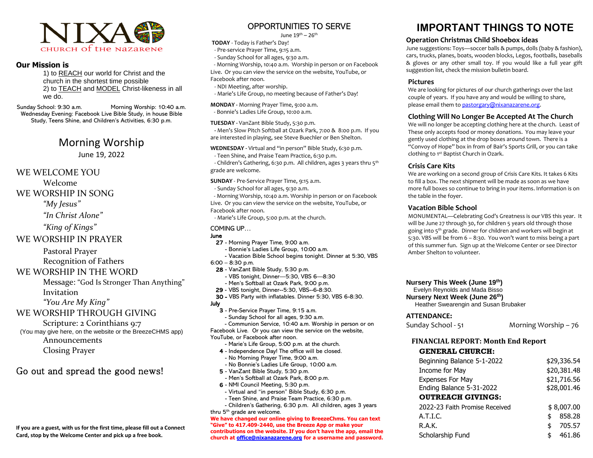

### **Our Mission is**

1) to REACH our world for Christ and the church in the shortest time possible 2) to TEACH and MODEL Christ-likeness in all we do.

Sunday School: 9:30 a.m. Morning Worship: 10:40 a.m. Wednesday Evening: Facebook Live Bible Study, in house Bible Study, Teens Shine, and Children's Activities, 6:30 p.m.

# Morning Worship

June 19, 2022

### WE WELCOME YOU

Welcome

### WE WORSHIP IN SONG

*"My Jesus"*

*"In Christ Alone"*

*"King of Kings"*

## WE WORSHIP IN PRAYER

 Pastoral Prayer Recognition of Fathers

## WE WORSHIP IN THE WORD

 Message: "God Is Stronger Than Anything" Invitation

*"You Are My King"*

## WE WORSHIP THROUGH GIVING

Scripture: 2 Corinthians 9:7

(You may give here, on the website or the BreezeCHMS app) Announcements Closing Prayer

# Go out and spread the good news!

**If you are a guest, with us for the first time, please fill out a Connect Card, stop by the Welcome Center and pick up a free book.**

# OPPORTUNITIES TO SERVE

June  $19<sup>th</sup> - 26<sup>th</sup>$ 

**TODAY** - Today is Father's Day!

- Pre-service Prayer Time, 9:15 a.m.

- Sunday School for all ages, 9:30 a.m.

- Morning Worship, 10:40 a.m. Worship in person or on Facebook Live. Or you can view the service on the website, YouTube, or Facebook after noon.

- NDI Meeting, after worship.

- Marie's Life Group, no meeting because of Father's Day!

**MONDAY -** Morning Prayer Time, 9:00 a.m.

- Bonnie's Ladies Life Group, 10:00 a.m.

#### **TUESDAY -** VanZant Bible Study, 5:30 p.m.

 **-** Men's Slow Pitch Softball at Ozark Park, 7:00 & 8:00 p.m. If you are interested in playing, see Steve Buechler or Ben Shelton.

#### **WEDNESDAY -** Virtual and "in person" Bible Study, 6:30 p.m.

- Teen Shine, and Praise Team Practice, 6:30 p.m.

- Children's Gathering, 6:30 p.m. All children, ages 3 years thru 5<sup>th</sup> grade are welcome.

**SUNDAY** - Pre-Service Prayer Time, 9:15 a.m.

- Sunday School for all ages, 9:30 a.m.

- Morning Worship, 10:40 a.m. Worship in person or on Facebook Live. Or you can view the service on the website, YouTube, or Facebook after noon.

- Marie's Life Group, 5:00 p.m. at the church.

#### COMING UP…

#### June

- 27 Morning Prayer Time, 9:00 a.m.
- Bonnie's Ladies Life Group, 10:00 a.m.
- Vacation Bible School begins tonight. Dinner at 5:30, VBS
- 6:00 8:30 p.m.
- 28 VanZant Bible Study, 5:30 p.m.
	- VBS tonight, Dinner—5:30, VBS 6—8:30
- Men's Softball at Ozark Park, 9:00 p.m.
- 29 VBS tonight, Dinner--5:30, VBS--6-8:30.
- 30 VBS Party with inflatables. Dinner 5:30, VBS 6-8:30. July
	- 3 Pre-Service Prayer Time, 9:15 a.m.
	- Sunday School for all ages, 9:30 a.m.

 - Communion Service, 10:40 a.m. Worship in person or on Facebook Live. Or you can view the service on the website, YouTube, or Facebook after noon.

- Marie's Life Group, 5:00 p.m. at the church.
- 4 Independence Day! The office will be closed.
- No Morning Prayer Time, 9:00 a.m.
- No Bonnie's Ladies Life Group, 10:00 a.m.
- 5 VanZant Bible Study, 5:30 p.m.
- Men's Softball at Ozark Park, 8:00 p.m.
- 6 NMI Council Meeting, 5:30 p.m.
- Virtual and "in person" Bible Study, 6:30 p.m.
- Teen Shine, and Praise Team Practice, 6:30 p.m.

 - Children's Gathering, 6:30 p.m. All children, ages 3 years thru 5th grade are welcome.

**We have changed our online giving to BreezeChms. You can text "Give" to 417.409-2440, use the Breeze App or make your contributions on the website. If you don't have the app, email the church at [office@nixanazarene.org](mailto:office@nixanazarene.org) for a username and password.**

# **IMPORTANT THINGS TO NOTE**

#### **Operation Christmas Child Shoebox ideas**

June suggestions: Toys—soccer balls & pumps, dolls (baby & fashion), cars, trucks, planes, boats, wooden blocks, Legos, footballs, baseballs & gloves or any other small toy. If you would like a full year gift suggestion list, check the mission bulletin board.

#### **Pictures**

We are looking for pictures of our church gatherings over the last couple of years. If you have any and would be willing to share, please email them t[o pastorgary@nixanazarene.org.](mailto:pastorgary@nixanazarene.org)

### **Clothing Will No Longer Be Accepted At The Church**

We will no longer be accepting clothing here at the church. Least of These only accepts food or money donations. You may leave your gently used clothing at the drop boxes around town. There is a "Convoy of Hope" box in from of Bair's Sports Grill, or you can take clothing to 1<sup>st</sup> Baptist Church in Ozark.

#### **Crisis Care Kits**

We are working on a second group of Crisis Care Kits. It takes 6 Kits to fill a box. The next shipment will be made as soon as we have more full boxes so continue to bring in your items. Information is on the table in the foyer.

#### **Vacation Bible School**

MONUMENTAL—Celebrating God's Greatness is our VBS this year. It will be June 27 through 30, for children 5 years old through those going into 5th grade. Dinner for children and workers will begin at 5:30. VBS will be from 6 – 8:30. You won't want to miss being a part of this summer fun. Sign up at the Welcome Center or see Director Amber Shelton to volunteer.

#### **Nursery This Week (June 19th)**

Evelyn Reynolds and Mada Bisso

**Nursery Next Week (June 26th)**

Heather Swearengin and Susan Brubaker

#### **ATTENDANCE:**

Sunday School - 51 Morning Worship – 76

### **FINANCIAL REPORT: Month End Report**

#### **GENERAL CHURCH:**

| Beginning Balance 5-1-2022     | \$29,336.54  |
|--------------------------------|--------------|
| Income for May                 | \$20,381.48  |
| <b>Expenses For May</b>        | \$21,716.56  |
| Ending Balance 5-31-2022       | \$28,001.46  |
| <b>OUTREACH GIVINGS:</b>       |              |
| 2022-23 Faith Promise Received | \$8,007.00   |
| A.T.I.C.                       | 858.28<br>\$ |
| R.A.K.                         | 705.57<br>\$ |
| Scholarship Fund               | 461.86<br>\$ |